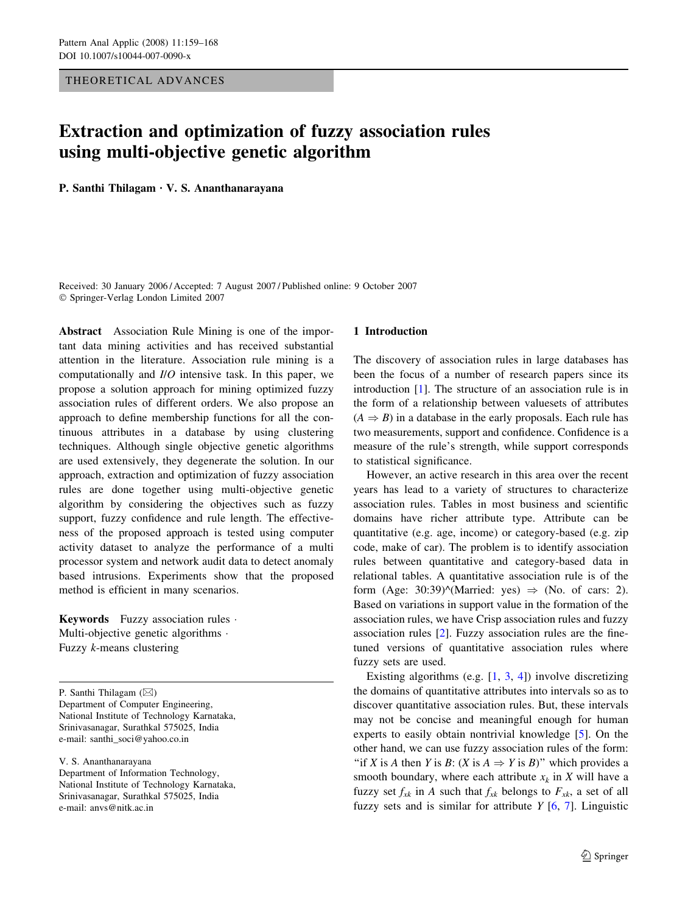## THEORETICAL ADVANCES

# Extraction and optimization of fuzzy association rules using multi-objective genetic algorithm

P. Santhi Thilagam · V. S. Ananthanarayana

Received: 30 January 2006 / Accepted: 7 August 2007 / Published online: 9 October 2007 Springer-Verlag London Limited 2007

Abstract Association Rule Mining is one of the important data mining activities and has received substantial attention in the literature. Association rule mining is a computationally and I/O intensive task. In this paper, we propose a solution approach for mining optimized fuzzy association rules of different orders. We also propose an approach to define membership functions for all the continuous attributes in a database by using clustering techniques. Although single objective genetic algorithms are used extensively, they degenerate the solution. In our approach, extraction and optimization of fuzzy association rules are done together using multi-objective genetic algorithm by considering the objectives such as fuzzy support, fuzzy confidence and rule length. The effectiveness of the proposed approach is tested using computer activity dataset to analyze the performance of a multi processor system and network audit data to detect anomaly based intrusions. Experiments show that the proposed method is efficient in many scenarios.

**Keywords** Fuzzy association rules  $\cdot$ Multi-objective genetic algorithms  $\cdot$ Fuzzy k-means clustering

P. Santhi Thilagam ( $\boxtimes$ )

Department of Computer Engineering, National Institute of Technology Karnataka, Srinivasanagar, Surathkal 575025, India e-mail: santhi\_soci@yahoo.co.in

V. S. Ananthanarayana

Department of Information Technology, National Institute of Technology Karnataka, Srinivasanagar, Surathkal 575025, India e-mail: anvs@nitk.ac.in

## 1 Introduction

The discovery of association rules in large databases has been the focus of a number of research papers since its introduction [\[1\]](#page-8-0). The structure of an association rule is in the form of a relationship between valuesets of attributes  $(A \Rightarrow B)$  in a database in the early proposals. Each rule has two measurements, support and confidence. Confidence is a measure of the rule's strength, while support corresponds to statistical significance.

However, an active research in this area over the recent years has lead to a variety of structures to characterize association rules. Tables in most business and scientific domains have richer attribute type. Attribute can be quantitative (e.g. age, income) or category-based (e.g. zip code, make of car). The problem is to identify association rules between quantitative and category-based data in relational tables. A quantitative association rule is of the form (Age: 30:39)^(Married: yes)  $\Rightarrow$  (No. of cars: 2). Based on variations in support value in the formation of the association rules, we have Crisp association rules and fuzzy association rules [[2\]](#page-8-0). Fuzzy association rules are the finetuned versions of quantitative association rules where fuzzy sets are used.

Existing algorithms (e.g.  $[1, 3, 4]$  $[1, 3, 4]$  $[1, 3, 4]$  $[1, 3, 4]$  $[1, 3, 4]$  $[1, 3, 4]$  $[1, 3, 4]$ ) involve discretizing the domains of quantitative attributes into intervals so as to discover quantitative association rules. But, these intervals may not be concise and meaningful enough for human experts to easily obtain nontrivial knowledge [\[5](#page-8-0)]. On the other hand, we can use fuzzy association rules of the form: "if X is A then Y is B:  $(X \text{ is } A \Rightarrow Y \text{ is } B)$ " which provides a smooth boundary, where each attribute  $x_k$  in X will have a fuzzy set  $f_{xk}$  in A such that  $f_{xk}$  belongs to  $F_{xk}$ , a set of all fuzzy sets and is similar for attribute  $Y$  [[6,](#page-8-0) [7\]](#page-8-0). Linguistic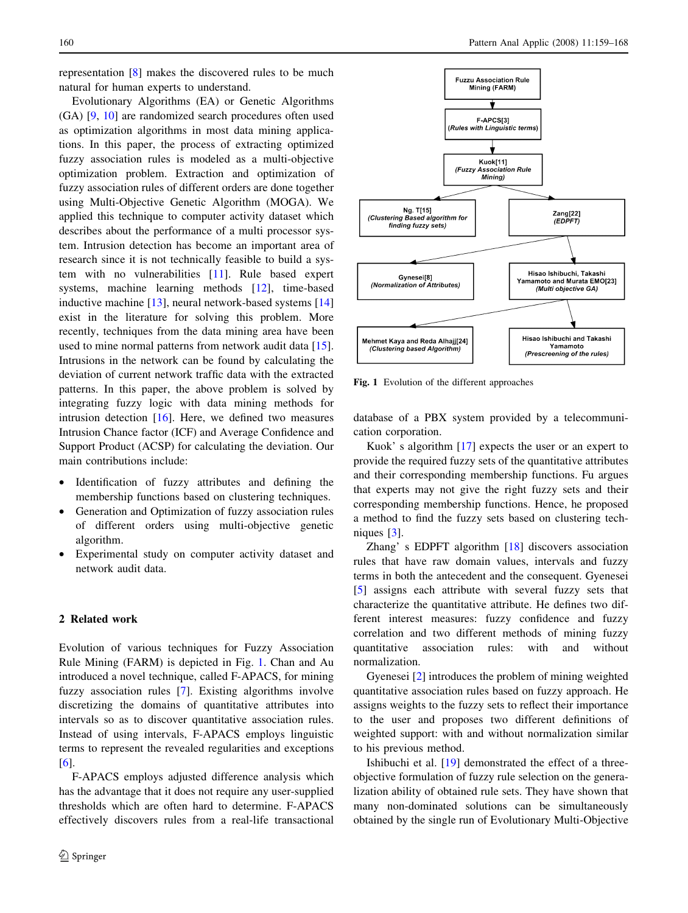representation [[8\]](#page-8-0) makes the discovered rules to be much natural for human experts to understand.

Evolutionary Algorithms (EA) or Genetic Algorithms (GA) [\[9](#page-8-0), [10](#page-9-0)] are randomized search procedures often used as optimization algorithms in most data mining applications. In this paper, the process of extracting optimized fuzzy association rules is modeled as a multi-objective optimization problem. Extraction and optimization of fuzzy association rules of different orders are done together using Multi-Objective Genetic Algorithm (MOGA). We applied this technique to computer activity dataset which describes about the performance of a multi processor system. Intrusion detection has become an important area of research since it is not technically feasible to build a system with no vulnerabilities [\[11](#page-9-0)]. Rule based expert systems, machine learning methods [\[12](#page-9-0)], time-based inductive machine [[13\]](#page-9-0), neural network-based systems [[14\]](#page-9-0) exist in the literature for solving this problem. More recently, techniques from the data mining area have been used to mine normal patterns from network audit data [\[15](#page-9-0)]. Intrusions in the network can be found by calculating the deviation of current network traffic data with the extracted patterns. In this paper, the above problem is solved by integrating fuzzy logic with data mining methods for intrusion detection [[16\]](#page-9-0). Here, we defined two measures Intrusion Chance factor (ICF) and Average Confidence and Support Product (ACSP) for calculating the deviation. Our main contributions include:

- Identification of fuzzy attributes and defining the membership functions based on clustering techniques.
- Generation and Optimization of fuzzy association rules of different orders using multi-objective genetic algorithm.
- Experimental study on computer activity dataset and network audit data.

## 2 Related work

Evolution of various techniques for Fuzzy Association Rule Mining (FARM) is depicted in Fig. 1. Chan and Au introduced a novel technique, called F-APACS, for mining fuzzy association rules [\[7](#page-8-0)]. Existing algorithms involve discretizing the domains of quantitative attributes into intervals so as to discover quantitative association rules. Instead of using intervals, F-APACS employs linguistic terms to represent the revealed regularities and exceptions [\[6](#page-8-0)].

F-APACS employs adjusted difference analysis which has the advantage that it does not require any user-supplied thresholds which are often hard to determine. F-APACS effectively discovers rules from a real-life transactional



Fig. 1 Evolution of the different approaches

database of a PBX system provided by a telecommunication corporation.

Kuok' s algorithm [[17\]](#page-9-0) expects the user or an expert to provide the required fuzzy sets of the quantitative attributes and their corresponding membership functions. Fu argues that experts may not give the right fuzzy sets and their corresponding membership functions. Hence, he proposed a method to find the fuzzy sets based on clustering techniques [[3\]](#page-8-0).

Zhang' s EDPFT algorithm [\[18](#page-9-0)] discovers association rules that have raw domain values, intervals and fuzzy terms in both the antecedent and the consequent. Gyenesei [\[5](#page-8-0)] assigns each attribute with several fuzzy sets that characterize the quantitative attribute. He defines two different interest measures: fuzzy confidence and fuzzy correlation and two different methods of mining fuzzy quantitative association rules: with and without normalization.

Gyenesei [[2](#page-8-0)] introduces the problem of mining weighted quantitative association rules based on fuzzy approach. He assigns weights to the fuzzy sets to reflect their importance to the user and proposes two different definitions of weighted support: with and without normalization similar to his previous method.

Ishibuchi et al. [\[19](#page-9-0)] demonstrated the effect of a threeobjective formulation of fuzzy rule selection on the generalization ability of obtained rule sets. They have shown that many non-dominated solutions can be simultaneously obtained by the single run of Evolutionary Multi-Objective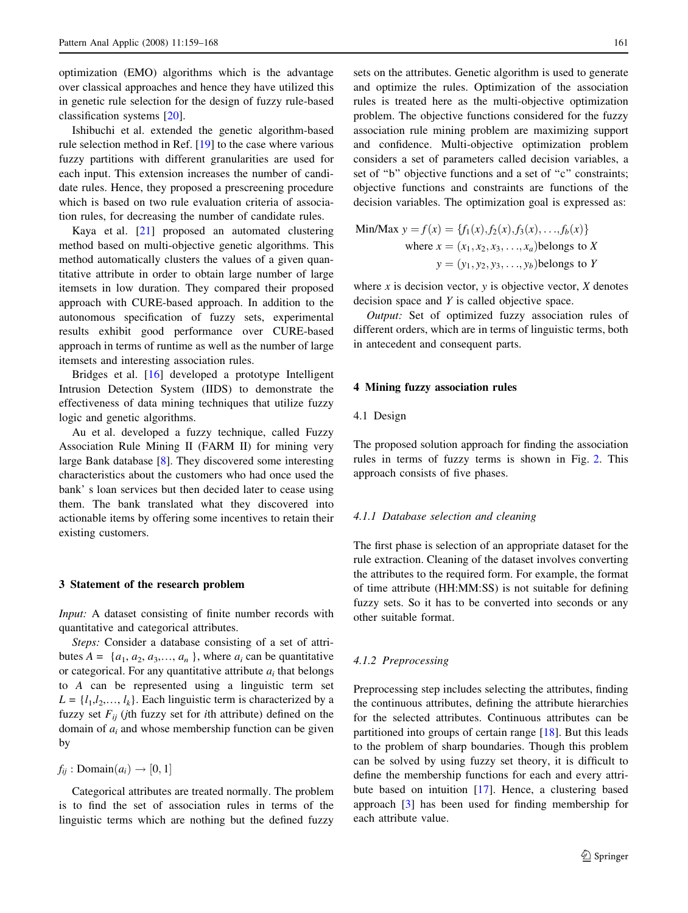optimization (EMO) algorithms which is the advantage over classical approaches and hence they have utilized this in genetic rule selection for the design of fuzzy rule-based classification systems [[20\]](#page-9-0).

Ishibuchi et al. extended the genetic algorithm-based rule selection method in Ref. [[19](#page-9-0)] to the case where various fuzzy partitions with different granularities are used for each input. This extension increases the number of candidate rules. Hence, they proposed a prescreening procedure which is based on two rule evaluation criteria of association rules, for decreasing the number of candidate rules.

Kaya et al. [[21\]](#page-9-0) proposed an automated clustering method based on multi-objective genetic algorithms. This method automatically clusters the values of a given quantitative attribute in order to obtain large number of large itemsets in low duration. They compared their proposed approach with CURE-based approach. In addition to the autonomous specification of fuzzy sets, experimental results exhibit good performance over CURE-based approach in terms of runtime as well as the number of large itemsets and interesting association rules.

Bridges et al. [\[16](#page-9-0)] developed a prototype Intelligent Intrusion Detection System (IIDS) to demonstrate the effectiveness of data mining techniques that utilize fuzzy logic and genetic algorithms.

Au et al. developed a fuzzy technique, called Fuzzy Association Rule Mining II (FARM II) for mining very large Bank database [[8\]](#page-8-0). They discovered some interesting characteristics about the customers who had once used the bank' s loan services but then decided later to cease using them. The bank translated what they discovered into actionable items by offering some incentives to retain their existing customers.

## 3 Statement of the research problem

Input: A dataset consisting of finite number records with quantitative and categorical attributes.

Steps: Consider a database consisting of a set of attributes  $A = \{a_1, a_2, a_3, \dots, a_n\}$ , where  $a_i$  can be quantitative or categorical. For any quantitative attribute  $a_i$  that belongs to A can be represented using a linguistic term set  $L = \{l_1, l_2, \ldots, l_k\}$ . Each linguistic term is characterized by a fuzzy set  $F_{ij}$  (jth fuzzy set for *i*th attribute) defined on the domain of  $a_i$  and whose membership function can be given by

 $f_{ij}: \text{Domain}(a_i) \rightarrow [0,1]$ 

Categorical attributes are treated normally. The problem is to find the set of association rules in terms of the linguistic terms which are nothing but the defined fuzzy

sets on the attributes. Genetic algorithm is used to generate and optimize the rules. Optimization of the association rules is treated here as the multi-objective optimization problem. The objective functions considered for the fuzzy association rule mining problem are maximizing support and confidence. Multi-objective optimization problem considers a set of parameters called decision variables, a set of "b" objective functions and a set of "c" constraints; objective functions and constraints are functions of the decision variables. The optimization goal is expressed as:

Min/Max 
$$
y = f(x) = {f_1(x), f_2(x), f_3(x), ..., f_b(x)}
$$
  
where  $x = (x_1, x_2, x_3, ..., x_a)$  belongs to X  
 $y = (y_1, y_2, y_3, ..., y_b)$  belongs to Y

where x is decision vector, y is objective vector,  $X$  denotes decision space and Y is called objective space.

Output: Set of optimized fuzzy association rules of different orders, which are in terms of linguistic terms, both in antecedent and consequent parts.

### 4 Mining fuzzy association rules

#### 4.1 Design

The proposed solution approach for finding the association rules in terms of fuzzy terms is shown in Fig. [2.](#page-3-0) This approach consists of five phases.

#### 4.1.1 Database selection and cleaning

The first phase is selection of an appropriate dataset for the rule extraction. Cleaning of the dataset involves converting the attributes to the required form. For example, the format of time attribute (HH:MM:SS) is not suitable for defining fuzzy sets. So it has to be converted into seconds or any other suitable format.

## 4.1.2 Preprocessing

Preprocessing step includes selecting the attributes, finding the continuous attributes, defining the attribute hierarchies for the selected attributes. Continuous attributes can be partitioned into groups of certain range [\[18](#page-9-0)]. But this leads to the problem of sharp boundaries. Though this problem can be solved by using fuzzy set theory, it is difficult to define the membership functions for each and every attribute based on intuition [[17\]](#page-9-0). Hence, a clustering based approach [[3\]](#page-8-0) has been used for finding membership for each attribute value.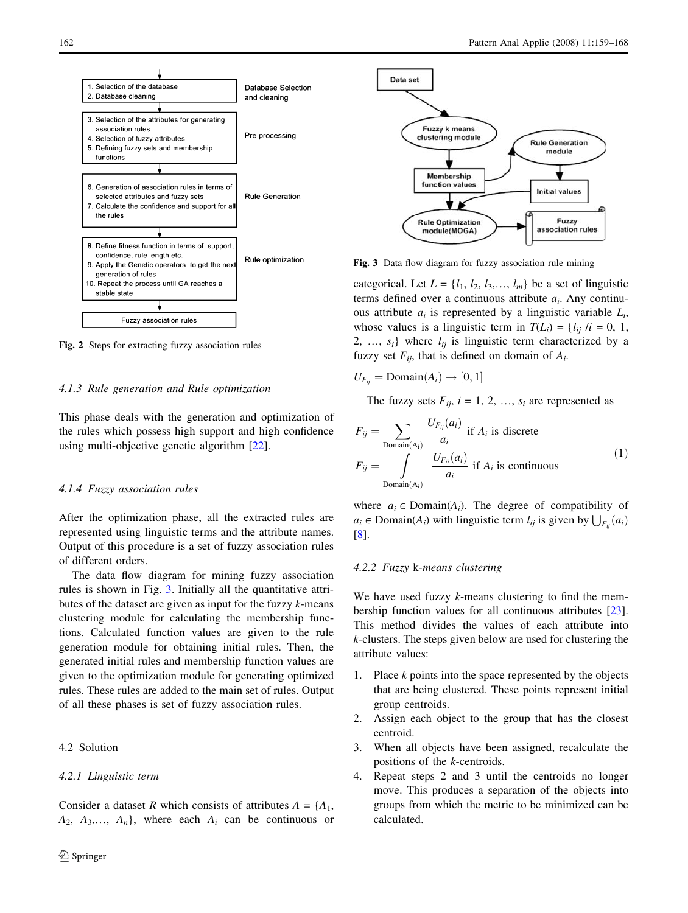<span id="page-3-0"></span>

Fig. 2 Steps for extracting fuzzy association rules

#### 4.1.3 Rule generation and Rule optimization

This phase deals with the generation and optimization of the rules which possess high support and high confidence using multi-objective genetic algorithm [[22\]](#page-9-0).

#### 4.1.4 Fuzzy association rules

After the optimization phase, all the extracted rules are represented using linguistic terms and the attribute names. Output of this procedure is a set of fuzzy association rules of different orders.

The data flow diagram for mining fuzzy association rules is shown in Fig. 3. Initially all the quantitative attributes of the dataset are given as input for the fuzzy  $k$ -means clustering module for calculating the membership functions. Calculated function values are given to the rule generation module for obtaining initial rules. Then, the generated initial rules and membership function values are given to the optimization module for generating optimized rules. These rules are added to the main set of rules. Output of all these phases is set of fuzzy association rules.

## 4.2 Solution

#### 4.2.1 Linguistic term

Consider a dataset R which consists of attributes  $A = \{A_1, A_2, \ldots, A_n\}$  $A_2, A_3,..., A_n$ , where each  $A_i$  can be continuous or



Fig. 3 Data flow diagram for fuzzy association rule mining

categorical. Let  $L = \{l_1, l_2, l_3, \ldots, l_m\}$  be a set of linguistic terms defined over a continuous attribute  $a_i$ . Any continuous attribute  $a_i$  is represented by a linguistic variable  $L_i$ , whose values is a linguistic term in  $T(L_i) = \{l_{ij} / i = 0, 1, \}$ 2, ...,  $s_i$ } where  $l_{ij}$  is linguistic term characterized by a fuzzy set  $F_{ii}$ , that is defined on domain of  $A_i$ .

 $U_{F_{ij}} = \text{Domain}(A_i) \rightarrow [0, 1]$ 

The fuzzy sets  $F_{ii}$ ,  $i = 1, 2, ..., s_i$  are represented as

$$
F_{ij} = \sum_{\substack{\text{Domain}(A_i) \\ F_{ij} = \int_{\text{Domain}(A_i)}}} \frac{U_{F_{ij}}(a_i)}{a_i} \text{ if } A_i \text{ is discrete} \\ \frac{U_{F_{ij}}(a_i)}{a_i} \text{ if } A_i \text{ is continuous} \tag{1}
$$

where  $a_i \in \text{Domain}(A_i)$ . The degree of compatibility of  $a_i \in \text{Domain}(A_i)$  with linguistic term  $l_{ij}$  is given by  $\bigcup_{F_{ij}} (a_i)$ [\[8](#page-8-0)].

## 4.2.2 Fuzzy k-means clustering

We have used fuzzy *k*-means clustering to find the membership function values for all continuous attributes [\[23](#page-9-0)]. This method divides the values of each attribute into k-clusters. The steps given below are used for clustering the attribute values:

- 1. Place k points into the space represented by the objects that are being clustered. These points represent initial group centroids.
- 2. Assign each object to the group that has the closest centroid.
- 3. When all objects have been assigned, recalculate the positions of the k-centroids.
- 4. Repeat steps 2 and 3 until the centroids no longer move. This produces a separation of the objects into groups from which the metric to be minimized can be calculated.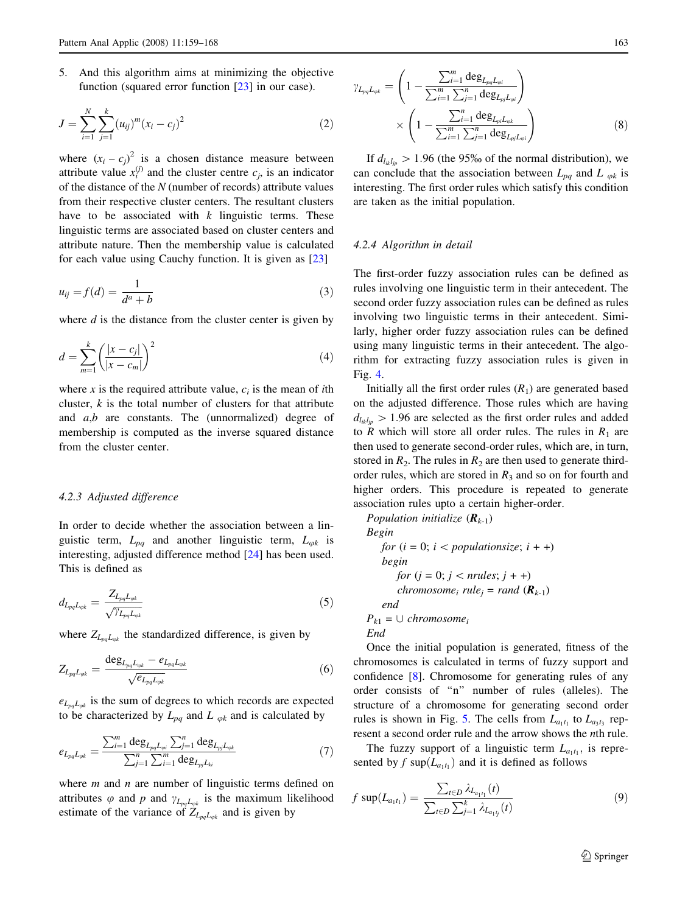5. And this algorithm aims at minimizing the objective function (squared error function [[23\]](#page-9-0) in our case).

$$
J = \sum_{i=1}^{N} \sum_{j=1}^{k} (u_{ij})^{m} (x_i - c_j)^2
$$
 (2)

where  $(x_i - c_j)^2$  is a chosen distance measure between attribute value  $x_i^{(j)}$  and the cluster centre  $c_j$ , is an indicator of the distance of the  $N$  (number of records) attribute values from their respective cluster centers. The resultant clusters have to be associated with  $k$  linguistic terms. These linguistic terms are associated based on cluster centers and attribute nature. Then the membership value is calculated for each value using Cauchy function. It is given as [[23\]](#page-9-0)

$$
u_{ij} = f(d) = \frac{1}{d^a + b} \tag{3}
$$

where  $d$  is the distance from the cluster center is given by

$$
d = \sum_{m=1}^{k} \left( \frac{|x - c_j|}{|x - c_m|} \right)^2 \tag{4}
$$

where x is the required attribute value,  $c_i$  is the mean of ith cluster,  $k$  is the total number of clusters for that attribute and  $a,b$  are constants. The (unnormalized) degree of membership is computed as the inverse squared distance from the cluster center.

## 4.2.3 Adjusted difference

In order to decide whether the association between a linguistic term,  $L_{pq}$  and another linguistic term,  $L_{\varphi k}$  is interesting, adjusted difference method [\[24](#page-9-0)] has been used. This is defined as

$$
d_{L_{pq}L_{\varphi k}} = \frac{Z_{L_{pq}L_{\varphi k}}}{\sqrt{\gamma_{L_{pq}L_{\varphi k}}}}\tag{5}
$$

where  $Z_{L_{pa}L_{ok}}$  the standardized difference, is given by

$$
Z_{L_{pq}L_{qk}} = \frac{\deg_{L_{pq}L_{qk}} - e_{L_{pq}L_{qk}}}{\sqrt{e_{L_{pq}L_{qk}}}} \tag{6}
$$

 $e_{L_{pq}L_{qk}}$  is the sum of degrees to which records are expected to be characterized by  $L_{pq}$  and L  $_{qk}$  and is calculated by

$$
e_{L_{pq}L_{\varphi k}} = \frac{\sum_{i=1}^{m} \deg_{L_{pq}L_{\varphi i}} \sum_{j=1}^{n} \deg_{L_{pj}L_{\varphi k}}}{\sum_{j=1}^{n} \sum_{i=1}^{m} \deg_{L_{pj}L_{ki}}} \tag{7}
$$

where  $m$  and  $n$  are number of linguistic terms defined on attributes  $\varphi$  and  $p$  and  $\gamma_{L_{pq}L_{qk}}$  is the maximum likelihood estimate of the variance of  $Z_{L_{pq}L_{qk}}$  and is given by

$$
\gamma_{L_{pq}L_{\varphi k}} = \left(1 - \frac{\sum_{i=1}^{m} \deg_{L_{pq}L_{\varphi i}}}{\sum_{i=1}^{m} \sum_{j=1}^{n} \deg_{L_{pj}L_{\varphi i}}}\right) \times \left(1 - \frac{\sum_{i=1}^{n} \deg_{L_{pj}L_{\varphi k}}}{\sum_{i=1}^{m} \sum_{j=1}^{n} \deg_{L_{pj}L_{\varphi i}}}\right)
$$
\n(8)

If  $d_{l_{ik}l_{in}} > 1.96$  (the 95% of the normal distribution), we can conclude that the association between  $L_{pq}$  and  $L_{qk}$  is interesting. The first order rules which satisfy this condition are taken as the initial population.

#### 4.2.4 Algorithm in detail

The first-order fuzzy association rules can be defined as rules involving one linguistic term in their antecedent. The second order fuzzy association rules can be defined as rules involving two linguistic terms in their antecedent. Similarly, higher order fuzzy association rules can be defined using many linguistic terms in their antecedent. The algorithm for extracting fuzzy association rules is given in Fig. [4](#page-5-0).

Initially all the first order rules  $(R_1)$  are generated based on the adjusted difference. Those rules which are having  $d_{l_{ik}l_{in}} > 1.96$  are selected as the first order rules and added to R which will store all order rules. The rules in  $R_1$  are then used to generate second-order rules, which are, in turn, stored in  $R_2$ . The rules in  $R_2$  are then used to generate thirdorder rules, which are stored in  $R_3$  and so on for fourth and higher orders. This procedure is repeated to generate association rules upto a certain higher-order.

Population initialize  $(R_{k-1})$ 

Begin for  $(i = 0; i < populationsize; i + +)$ begin *for*  $(j = 0; j <$  *nrules*;  $j + +$ ) chromosome<sub>i</sub> rule<sub>i</sub> = rand  $(R_{k-1})$ end  $P_{k1} = \cup$  chromosome<sub>i</sub>

End

Once the initial population is generated, fitness of the chromosomes is calculated in terms of fuzzy support and confidence [\[8](#page-8-0)]. Chromosome for generating rules of any order consists of ''n'' number of rules (alleles). The structure of a chromosome for generating second order rules is shown in Fig. [5](#page-5-0). The cells from  $L_{a_1t_1}$  to  $L_{a_3t_3}$  represent a second order rule and the arrow shows the nth rule.

The fuzzy support of a linguistic term  $L_{a_1t_1}$ , is represented by f sup $(L_{a_1t_1})$  and it is defined as follows

$$
f \sup(L_{a_1t_1}) = \frac{\sum_{t \in D} \lambda_{L_{a_1t_1}}(t)}{\sum_{t \in D} \sum_{j=1}^k \lambda_{L_{a_1t_j}}(t)}
$$
(9)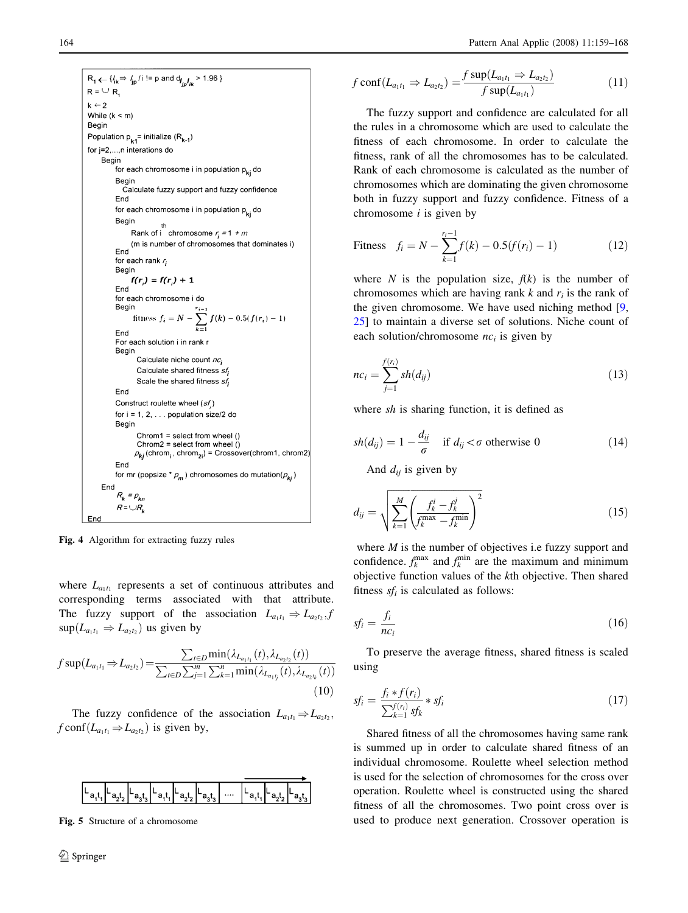```
R_1 \leftarrow \{l_{ik} \Rightarrow l_{jp}/i! = p \text{ and } d_{l_{jp}}l_{ik} > 1.96\}R = \cup Rk \leftarrow 2While (k < m)Begin
Population p_{k1}= initialize (R<sub>k-1</sub>)
for j=2,...,n interations do
     Begin
         for each chromosome i in population pki do
         Begir
            Calculate fuzzy support and fuzzy confidence
         End
         for each chromosome i in population p<sub>ki</sub> do
         Begin
               Rank of i chromosome r_i = 1 + m(m is number of chromosomes that dominates i)
         End
         for each rank r_iBegin
               f(r_i) = f(r_i) + 1End
          for each chromosome i do
               fitness f_i = N - \sum_{k=1}^{N} f(k) - 0.5(f(r_i) - 1)End
         For each solution i in rank a
         Begin
                 Calculate niche count nc;
                 Calculate shared fitness sf
                 Scale the shared fitness sf;
         End
         Construct roulette wheel (sf)
         for i = 1, 2, \ldots population size/2 do
         Begin
                 Chrom1 = select from wheel ()
                 Chrom2 = select from wheel ()
                \rho_{\boldsymbol{k}j} (chrom<sub>i</sub>, chrom<sub>2i</sub>) = Crossover(chrom1, chrom2)
         End
          for mr (popsize ^* \rho_m) chromosomes do mutation(\rho_{ki})
     End
          R_{k} = \rho_{kn}R = \bigcup R_kEnd
```
Fig. 4 Algorithm for extracting fuzzy rules

where  $L_{a_1t_1}$  represents a set of continuous attributes and corresponding terms associated with that attribute. The fuzzy support of the association  $L_{a_1t_1} \Rightarrow L_{a_2t_2}$ , f  $\sup(L_{a_1t_1} \Rightarrow L_{a_2t_2})$  us given by

$$
f \sup(L_{a_1t_1} \Rightarrow L_{a_2t_2}) = \frac{\sum_{t \in D} \min(\lambda_{L_{a_1t_1}}(t), \lambda_{L_{a_2t_2}}(t))}{\sum_{t \in D} \sum_{j=1}^m \sum_{k=1}^n \min(\lambda_{L_{a_1t_j}}(t), \lambda_{L_{a_2t_k}}(t))}
$$
(10)

The fuzzy confidence of the association  $L_{a_1t_1} \Rightarrow L_{a_2t_2}$ ,  $f \text{conf}(L_{a_1t_1} \Rightarrow L_{a_2t_2})$  is given by,



Fig. 5 Structure of a chromosome

$$
f \operatorname{conf}(L_{a_1t_1} \Rightarrow L_{a_2t_2}) = \frac{f \sup(L_{a_1t_1} \Rightarrow L_{a_2t_2})}{f \sup(L_{a_1t_1})}
$$
(11)

The fuzzy support and confidence are calculated for all the rules in a chromosome which are used to calculate the fitness of each chromosome. In order to calculate the fitness, rank of all the chromosomes has to be calculated. Rank of each chromosome is calculated as the number of chromosomes which are dominating the given chromosome both in fuzzy support and fuzzy confidence. Fitness of a chromosome  $i$  is given by

$$
\text{Fitness} \quad f_i = N - \sum_{k=1}^{r_i - 1} f(k) - 0.5(f(r_i) - 1) \tag{12}
$$

where N is the population size,  $f(k)$  is the number of chromosomes which are having rank k and  $r_i$  is the rank of the given chromosome. We have used niching method [[9,](#page-8-0) [25](#page-9-0)] to maintain a diverse set of solutions. Niche count of each solution/chromosome  $nc<sub>i</sub>$  is given by

$$
nc_i = \sum_{j=1}^{f(r_i)} sh(d_{ij})
$$
\n(13)

where sh is sharing function, it is defined as

$$
sh(d_{ij}) = 1 - \frac{d_{ij}}{\sigma} \quad \text{if } d_{ij} < \sigma \text{ otherwise } 0 \tag{14}
$$

And  $d_{ij}$  is given by

$$
d_{ij} = \sqrt{\sum_{k=1}^{M} \left( \frac{f_k^i - f_k^j}{f_k^{\max} - f_k^{\min}} \right)^2}
$$
 (15)

where  $M$  is the number of objectives i.e fuzzy support and confidence.  $f_k^{\text{max}}$  and  $f_k^{\text{min}}$  are the maximum and minimum objective function values of the kth objective. Then shared fitness  $sf_i$  is calculated as follows:

$$
sf_i = \frac{f_i}{nc_i} \tag{16}
$$

To preserve the average fitness, shared fitness is scaled using

$$
sf_i = \frac{f_i * f(r_i)}{\sum_{k=1}^{f(r_i)} s f_k} * sf_i
$$
\n(17)

Shared fitness of all the chromosomes having same rank is summed up in order to calculate shared fitness of an individual chromosome. Roulette wheel selection method is used for the selection of chromosomes for the cross over operation. Roulette wheel is constructed using the shared fitness of all the chromosomes. Two point cross over is used to produce next generation. Crossover operation is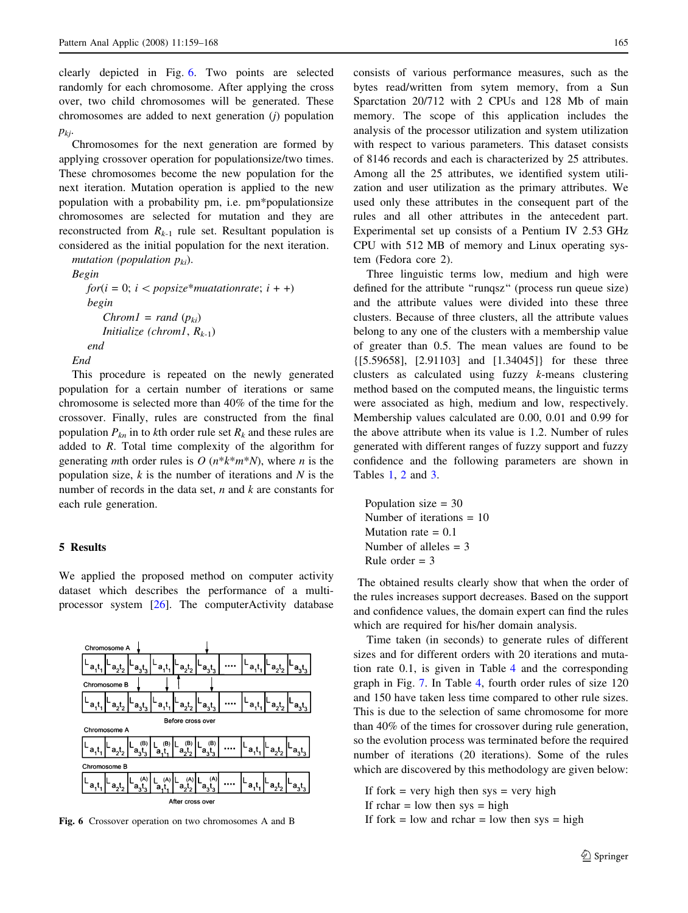clearly depicted in Fig. 6. Two points are selected randomly for each chromosome. After applying the cross over, two child chromosomes will be generated. These chromosomes are added to next generation (j) population  $p_{kj}$ .

Chromosomes for the next generation are formed by applying crossover operation for populationsize/two times. These chromosomes become the new population for the next iteration. Mutation operation is applied to the new population with a probability pm, i.e. pm\*populationsize chromosomes are selected for mutation and they are reconstructed from  $R_{k-1}$  rule set. Resultant population is considered as the initial population for the next iteration.

mutation (population  $p_{ki}$ ).

Begin  $for(i = 0; i < popsize*muationrate; i + )$ begin  $Chrom1 = rand (p_{ki})$ Initialize (chrom1,  $R_{k-1}$ ) end End

This procedure is repeated on the newly generated population for a certain number of iterations or same chromosome is selected more than 40% of the time for the crossover. Finally, rules are constructed from the final population  $P_{kn}$  in to kth order rule set  $R_k$  and these rules are added to  $R$ . Total time complexity of the algorithm for generating *m*th order rules is O  $(n*k*m*N)$ , where *n* is the population size,  $k$  is the number of iterations and  $N$  is the number of records in the data set,  $n$  and  $k$  are constants for each rule generation.

## 5 Results

We applied the proposed method on computer activity dataset which describes the performance of a multiprocessor system [\[26](#page-9-0)]. The computerActivity database



consists of various performance measures, such as the bytes read/written from sytem memory, from a Sun Sparctation 20/712 with 2 CPUs and 128 Mb of main memory. The scope of this application includes the analysis of the processor utilization and system utilization with respect to various parameters. This dataset consists of 8146 records and each is characterized by 25 attributes. Among all the 25 attributes, we identified system utilization and user utilization as the primary attributes. We used only these attributes in the consequent part of the rules and all other attributes in the antecedent part. Experimental set up consists of a Pentium IV 2.53 GHz CPU with 512 MB of memory and Linux operating system (Fedora core 2).

Three linguistic terms low, medium and high were defined for the attribute ''runqsz'' (process run queue size) and the attribute values were divided into these three clusters. Because of three clusters, all the attribute values belong to any one of the clusters with a membership value of greater than 0.5. The mean values are found to be {[5.59658], [2.91103] and [1.34045]} for these three clusters as calculated using fuzzy k-means clustering method based on the computed means, the linguistic terms were associated as high, medium and low, respectively. Membership values calculated are 0.00, 0.01 and 0.99 for the above attribute when its value is 1.2. Number of rules generated with different ranges of fuzzy support and fuzzy confidence and the following parameters are shown in Tables [1](#page-7-0), [2](#page-7-0) and [3](#page-7-0).

Population size = 30 Number of iterations = 10 Mutation rate  $= 0.1$ Number of alleles  $=$  3 Rule order  $=$  3

The obtained results clearly show that when the order of the rules increases support decreases. Based on the support and confidence values, the domain expert can find the rules which are required for his/her domain analysis.

Time taken (in seconds) to generate rules of different sizes and for different orders with 20 iterations and mutation rate 0.1, is given in Table [4](#page-7-0) and the corresponding graph in Fig. [7.](#page-7-0) In Table [4,](#page-7-0) fourth order rules of size 120 and 150 have taken less time compared to other rule sizes. This is due to the selection of same chromosome for more than 40% of the times for crossover during rule generation, so the evolution process was terminated before the required number of iterations (20 iterations). Some of the rules which are discovered by this methodology are given below:

If fork  $=$  very high then sys  $=$  very high If rchar  $=$  low then sys  $=$  high Fig. 6 Crossover operation on two chromosomes A and B If fork = low and rchar = low then sys = high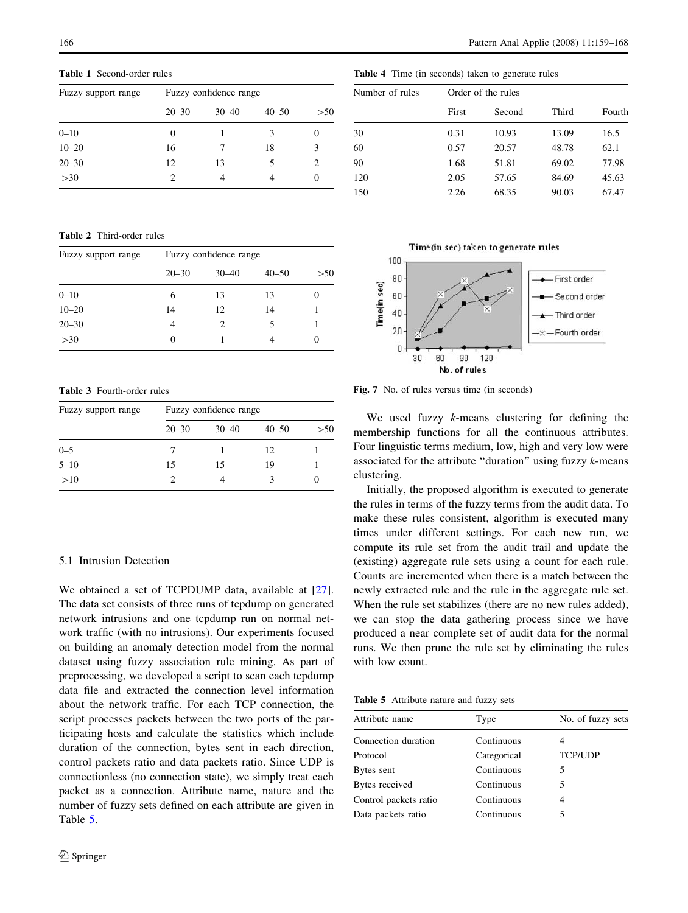<span id="page-7-0"></span>Table 1 Second-order rules

| Fuzzy support range | Fuzzy confidence range |           |           |     |  |
|---------------------|------------------------|-----------|-----------|-----|--|
|                     | $20 - 30$              | $30 - 40$ | $40 - 50$ | >50 |  |
| $0 - 10$            | 0                      |           | 3         |     |  |
| $10 - 20$           | 16                     |           | 18        | 3   |  |
| $20 - 30$           | 12                     | 13        |           | 2   |  |
| >30                 |                        |           |           |     |  |

Table 2 Third-order rules

| Fuzzy support range | Fuzzy confidence range |               |           |      |  |
|---------------------|------------------------|---------------|-----------|------|--|
|                     | $20 - 30$              | $30 - 40$     | $40 - 50$ | > 50 |  |
| $0 - 10$            | 6                      | 13            | 13        |      |  |
| $10 - 20$           | 14                     | 12            | 14        |      |  |
| $20 - 30$           | 4                      | $\mathcal{D}$ | 5         |      |  |
| >30                 |                        |               |           |      |  |

Table 3 Fourth-order rules

| Fuzzy support range | Fuzzy confidence range |           |           |     |  |  |
|---------------------|------------------------|-----------|-----------|-----|--|--|
|                     | $20 - 30$              | $30 - 40$ | $40 - 50$ | >50 |  |  |
| $0 - 5$             |                        |           | 12        |     |  |  |
| $5 - 10$            | 15                     | 15        | 19        |     |  |  |
| >10                 |                        | 4         | 3         |     |  |  |

## 5.1 Intrusion Detection

We obtained a set of TCPDUMP data, available at [\[27](#page-9-0)]. The data set consists of three runs of tcpdump on generated network intrusions and one tcpdump run on normal network traffic (with no intrusions). Our experiments focused on building an anomaly detection model from the normal dataset using fuzzy association rule mining. As part of preprocessing, we developed a script to scan each tcpdump data file and extracted the connection level information about the network traffic. For each TCP connection, the script processes packets between the two ports of the participating hosts and calculate the statistics which include duration of the connection, bytes sent in each direction, control packets ratio and data packets ratio. Since UDP is connectionless (no connection state), we simply treat each packet as a connection. Attribute name, nature and the number of fuzzy sets defined on each attribute are given in Table 5.

|  | <b>Table 4</b> Time (in seconds) taken to generate rules |  |  |  |  |  |
|--|----------------------------------------------------------|--|--|--|--|--|
|--|----------------------------------------------------------|--|--|--|--|--|

| Number of rules |       | Order of the rules |       |        |  |  |
|-----------------|-------|--------------------|-------|--------|--|--|
|                 | First | Second             | Third | Fourth |  |  |
| 30              | 0.31  | 10.93              | 13.09 | 16.5   |  |  |
| 60              | 0.57  | 20.57              | 48.78 | 62.1   |  |  |
| 90              | 1.68  | 51.81              | 69.02 | 77.98  |  |  |
| 120             | 2.05  | 57.65              | 84.69 | 45.63  |  |  |
| 150             | 2.26  | 68.35              | 90.03 | 67.47  |  |  |
|                 |       |                    |       |        |  |  |



Fig. 7 No. of rules versus time (in seconds)

We used fuzzy  $k$ -means clustering for defining the membership functions for all the continuous attributes. Four linguistic terms medium, low, high and very low were associated for the attribute "duration" using fuzzy  $k$ -means clustering.

Initially, the proposed algorithm is executed to generate the rules in terms of the fuzzy terms from the audit data. To make these rules consistent, algorithm is executed many times under different settings. For each new run, we compute its rule set from the audit trail and update the (existing) aggregate rule sets using a count for each rule. Counts are incremented when there is a match between the newly extracted rule and the rule in the aggregate rule set. When the rule set stabilizes (there are no new rules added), we can stop the data gathering process since we have produced a near complete set of audit data for the normal runs. We then prune the rule set by eliminating the rules with low count.

Table 5 Attribute nature and fuzzy sets

| Attribute name        | Type        | No. of fuzzy sets |
|-----------------------|-------------|-------------------|
| Connection duration   | Continuous  |                   |
| Protocol              | Categorical | <b>TCP/UDP</b>    |
| Bytes sent            | Continuous  | 5                 |
| Bytes received        | Continuous  | 5                 |
| Control packets ratio | Continuous  | 4                 |
| Data packets ratio    | Continuous  | 5                 |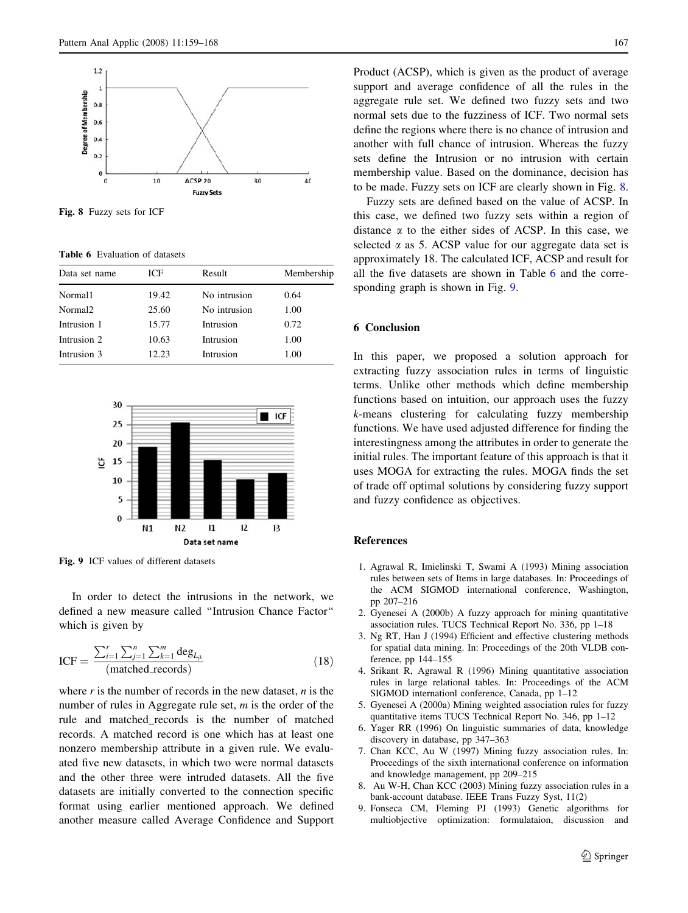<span id="page-8-0"></span>

Fig. 8 Fuzzy sets for ICF

Table 6 Evaluation of datasets

| Data set name       | ICF   | Result       | Membership |
|---------------------|-------|--------------|------------|
| Normal1             | 19.42 | No intrusion | 0.64       |
| Normal <sub>2</sub> | 25.60 | No intrusion | 1.00       |
| Intrusion 1         | 15.77 | Intrusion    | 0.72       |
| Intrusion 2         | 10.63 | Intrusion    | 1.00       |
| Intrusion 3         | 12.23 | Intrusion    | 1.00       |
|                     |       |              |            |



Fig. 9 ICF values of different datasets

In order to detect the intrusions in the network, we defined a new measure called ''Intrusion Chance Factor'' which is given by

$$
ICF = \frac{\sum_{i=1}^{r} \sum_{j=1}^{n} \sum_{k=1}^{m} \deg_{L_{jk}}}{(\text{matched\_records})}
$$
(18)

where  $r$  is the number of records in the new dataset,  $n$  is the number of rules in Aggregate rule set,  $m$  is the order of the rule and matched\_records is the number of matched records. A matched record is one which has at least one nonzero membership attribute in a given rule. We evaluated five new datasets, in which two were normal datasets and the other three were intruded datasets. All the five datasets are initially converted to the connection specific format using earlier mentioned approach. We defined another measure called Average Confidence and Support Product (ACSP), which is given as the product of average support and average confidence of all the rules in the aggregate rule set. We defined two fuzzy sets and two normal sets due to the fuzziness of ICF. Two normal sets define the regions where there is no chance of intrusion and another with full chance of intrusion. Whereas the fuzzy sets define the Intrusion or no intrusion with certain membership value. Based on the dominance, decision has to be made. Fuzzy sets on ICF are clearly shown in Fig. 8.

Fuzzy sets are defined based on the value of ACSP. In this case, we defined two fuzzy sets within a region of distance  $\alpha$  to the either sides of ACSP. In this case, we selected  $\alpha$  as 5. ACSP value for our aggregate data set is approximately 18. The calculated ICF, ACSP and result for all the five datasets are shown in Table 6 and the corresponding graph is shown in Fig. 9.

## 6 Conclusion

In this paper, we proposed a solution approach for extracting fuzzy association rules in terms of linguistic terms. Unlike other methods which define membership functions based on intuition, our approach uses the fuzzy k-means clustering for calculating fuzzy membership functions. We have used adjusted difference for finding the interestingness among the attributes in order to generate the initial rules. The important feature of this approach is that it uses MOGA for extracting the rules. MOGA finds the set of trade off optimal solutions by considering fuzzy support and fuzzy confidence as objectives.

## References

- 1. Agrawal R, Imielinski T, Swami A (1993) Mining association rules between sets of Items in large databases. In: Proceedings of the ACM SIGMOD international conference, Washington, pp 207–216
- 2. Gyenesei A (2000b) A fuzzy approach for mining quantitative association rules. TUCS Technical Report No. 336, pp 1–18
- 3. Ng RT, Han J (1994) Efficient and effective clustering methods for spatial data mining. In: Proceedings of the 20th VLDB conference, pp 144–155
- 4. Srikant R, Agrawal R (1996) Mining quantitative association rules in large relational tables. In: Proceedings of the ACM SIGMOD internationl conference, Canada, pp 1–12
- 5. Gyenesei A (2000a) Mining weighted association rules for fuzzy quantitative items TUCS Technical Report No. 346, pp 1–12
- 6. Yager RR (1996) On linguistic summaries of data, knowledge discovery in database, pp 347–363
- 7. Chan KCC, Au W (1997) Mining fuzzy association rules. In: Proceedings of the sixth international conference on information and knowledge management, pp 209–215
- 8. Au W-H, Chan KCC (2003) Mining fuzzy association rules in a bank-account database. IEEE Trans Fuzzy Syst, 11(2)
- 9. Fonseca CM, Fleming PJ (1993) Genetic algorithms for multiobjective optimization: formulataion, discussion and